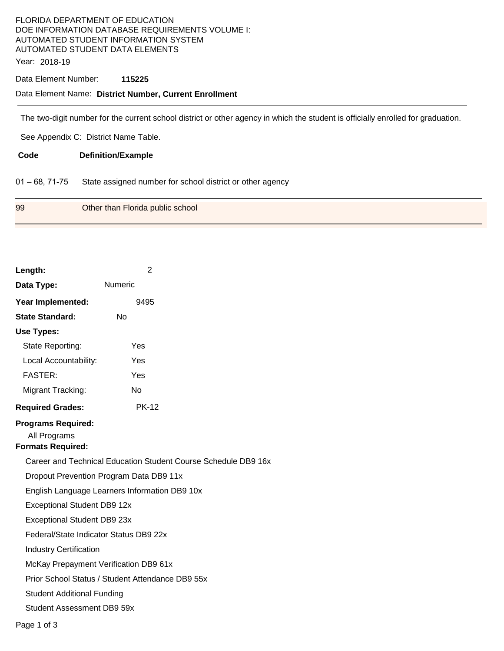# FLORIDA DEPARTMENT OF EDUCATION DOE INFORMATION DATABASE REQUIREMENTS VOLUME I: AUTOMATED STUDENT INFORMATION SYSTEM AUTOMATED STUDENT DATA ELEMENTS

Year: 2018-19

## Data Element Number: **115225**

### Data Element Name: **District Number, Current Enrollment**

The two-digit number for the current school district or other agency in which the student is officially enrolled for graduation.

See Appendix C: District Name Table.

**Code Definition/Example** 

01 – 68, 71-75 State assigned number for school district or other agency

| 99<br>Other than Florida public school |  |
|----------------------------------------|--|
|----------------------------------------|--|

| Length:                                                               | $\overline{2}$                                   |  |  |  |
|-----------------------------------------------------------------------|--------------------------------------------------|--|--|--|
| Data Type:                                                            | <b>Numeric</b>                                   |  |  |  |
| Year Implemented:                                                     | 9495                                             |  |  |  |
| <b>State Standard:</b>                                                | No                                               |  |  |  |
| <b>Use Types:</b>                                                     |                                                  |  |  |  |
| State Reporting:                                                      | Yes                                              |  |  |  |
| Local Accountability:                                                 | Yes                                              |  |  |  |
| <b>FASTER:</b>                                                        | Yes                                              |  |  |  |
| Migrant Tracking:                                                     | Nο                                               |  |  |  |
| <b>Required Grades:</b>                                               | <b>PK-12</b>                                     |  |  |  |
| <b>Programs Required:</b><br>All Programs<br><b>Formats Required:</b> |                                                  |  |  |  |
| Career and Technical Education Student Course Schedule DB9 16x        |                                                  |  |  |  |
| Dropout Prevention Program Data DB9 11x                               |                                                  |  |  |  |
| English Language Learners Information DB9 10x                         |                                                  |  |  |  |
| Exceptional Student DB9 12x                                           |                                                  |  |  |  |
| Exceptional Student DB9 23x                                           |                                                  |  |  |  |
| Federal/State Indicator Status DB9 22x                                |                                                  |  |  |  |
| <b>Industry Certification</b>                                         |                                                  |  |  |  |
| McKay Prepayment Verification DB9 61x                                 |                                                  |  |  |  |
|                                                                       | Prior School Status / Student Attendance DB9 55x |  |  |  |
| <b>Student Additional Funding</b>                                     |                                                  |  |  |  |
| Student Assessment DB9 59x                                            |                                                  |  |  |  |